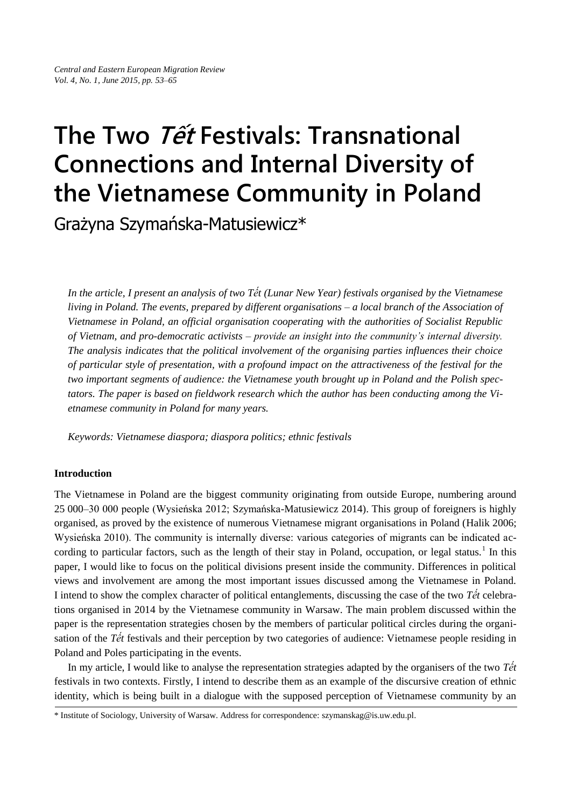# **The Two Tế<sup>t</sup> Festivals: Transnational Connections and Internal Diversity of the Vietnamese Community in Poland**

Grażyna Szymańska-Matusiewicz\*

*In the article, I present an analysis of two Tết (Lunar New Year) festivals organised by the Vietnamese living in Poland. The events, prepared by different organisations – a local branch of the Association of Vietnamese in Poland, an official organisation cooperating with the authorities of Socialist Republic of Vietnam, and pro-democratic activists – provide an insight into the community's internal diversity. The analysis indicates that the political involvement of the organising parties influences their choice of particular style of presentation, with a profound impact on the attractiveness of the festival for the two important segments of audience: the Vietnamese youth brought up in Poland and the Polish spectators. The paper is based on fieldwork research which the author has been conducting among the Vietnamese community in Poland for many years.* 

*Keywords: Vietnamese diaspora; diaspora politics; ethnic festivals*

## **Introduction**

The Vietnamese in Poland are the biggest community originating from outside Europe, numbering around 25 000–30 000 people (Wysieńska 2012; Szymańska-Matusiewicz 2014). This group of foreigners is highly organised, as proved by the existence of numerous Vietnamese migrant organisations in Poland (Halik 2006; Wysieńska 2010). The community is internally diverse: various categories of migrants can be indicated according to particular factors, such as the length of their stay in Poland, occupation, or legal status.<sup>1</sup> In this paper, I would like to focus on the political divisions present inside the community. Differences in political views and involvement are among the most important issues discussed among the Vietnamese in Poland. I intend to show the complex character of political entanglements, discussing the case of the two *Tết* celebrations organised in 2014 by the Vietnamese community in Warsaw. The main problem discussed within the paper is the representation strategies chosen by the members of particular political circles during the organisation of the *Tết* festivals and their perception by two categories of audience: Vietnamese people residing in Poland and Poles participating in the events.

In my article, I would like to analyse the representation strategies adapted by the organisers of the two *Tết* festivals in two contexts. Firstly, I intend to describe them as an example of the discursive creation of ethnic identity, which is being built in a dialogue with the supposed perception of Vietnamese community by an

\* Institute of Sociology, University of Warsaw. Address for correspondence: szymanskag@is.uw.edu.pl.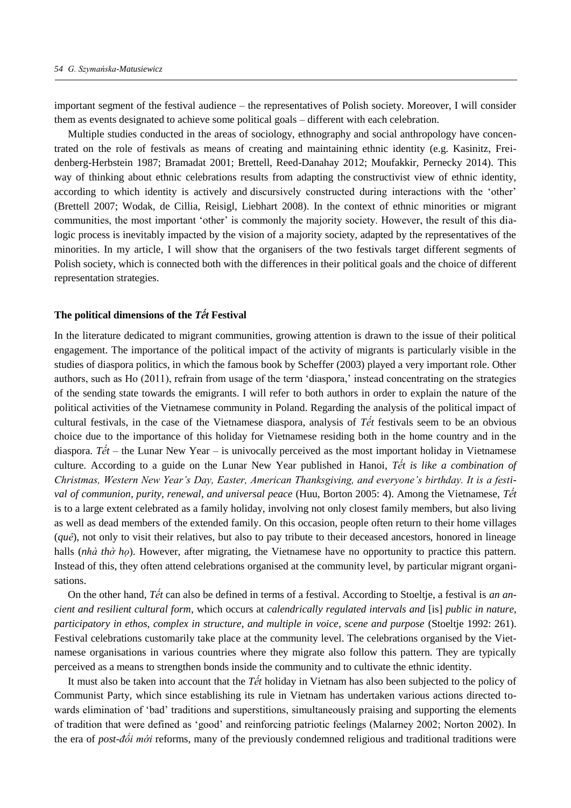important segment of the festival audience – the representatives of Polish society. Moreover, I will consider them as events designated to achieve some political goals – different with each celebration.

Multiple studies conducted in the areas of sociology, ethnography and social anthropology have concentrated on the role of festivals as means of creating and maintaining ethnic identity (e.g. Kasinitz, Freidenberg-Herbstein 1987; Bramadat 2001; Brettell, Reed-Danahay 2012; Moufakkir, Pernecky 2014). This way of thinking about ethnic celebrations results from adapting the constructivist view of ethnic identity, according to which identity is actively and discursively constructed during interactions with the 'other' (Brettell 2007; Wodak, de Cillia, Reisigl, Liebhart 2008). In the context of ethnic minorities or migrant communities, the most important 'other' is commonly the majority society. However, the result of this dialogic process is inevitably impacted by the vision of a majority society, adapted by the representatives of the minorities. In my article, I will show that the organisers of the two festivals target different segments of Polish society, which is connected both with the differences in their political goals and the choice of different representation strategies.

## **The political dimensions of the** *Tết* **Festival**

In the literature dedicated to migrant communities, growing attention is drawn to the issue of their political engagement. The importance of the political impact of the activity of migrants is particularly visible in the studies of diaspora politics, in which the famous book by Scheffer (2003) played a very important role. Other authors, such as Ho (2011), refrain from usage of the term 'diaspora,' instead concentrating on the strategies of the sending state towards the emigrants. I will refer to both authors in order to explain the nature of the political activities of the Vietnamese community in Poland. Regarding the analysis of the political impact of cultural festivals, in the case of the Vietnamese diaspora, analysis of *Tết* festivals seem to be an obvious choice due to the importance of this holiday for Vietnamese residing both in the home country and in the diaspora. *Tết* – the Lunar New Year – is univocally perceived as the most important holiday in Vietnamese culture. According to a guide on the Lunar New Year published in Hanoi, *Tết is like a combination of Christmas, Western New Year's Day, Easter, American Thanksgiving, and everyone's birthday. It is a festival of communion, purity, renewal, and universal peace* (Huu, Borton 2005: 4). Among the Vietnamese, *Tết* is to a large extent celebrated as a family holiday, involving not only closest family members, but also living as well as dead members of the extended family. On this occasion, people often return to their home villages (*quê*), not only to visit their relatives, but also to pay tribute to their deceased ancestors, honored in lineage halls (*nhà thờ ho*). However, after migrating, the Vietnamese have no opportunity to practice this pattern. Instead of this, they often attend celebrations organised at the community level, by particular migrant organisations.

On the other hand, *Tết* can also be defined in terms of a festival. According to Stoeltje, a festival is *an ancient and resilient cultural form*, which occurs at *calendrically regulated intervals and* [is] *public in nature, participatory in ethos, complex in structure, and multiple in voice, scene and purpose* (Stoeltje 1992: 261). Festival celebrations customarily take place at the community level. The celebrations organised by the Vietnamese organisations in various countries where they migrate also follow this pattern. They are typically perceived as a means to strengthen bonds inside the community and to cultivate the ethnic identity.

It must also be taken into account that the *Tết* holiday in Vietnam has also been subjected to the policy of Communist Party, which since establishing its rule in Vietnam has undertaken various actions directed towards elimination of 'bad' traditions and superstitions, simultaneously praising and supporting the elements of tradition that were defined as 'good' and reinforcing patriotic feelings (Malarney 2002; Norton 2002). In the era of *post-đổi mới* reforms, many of the previously condemned religious and traditional traditions were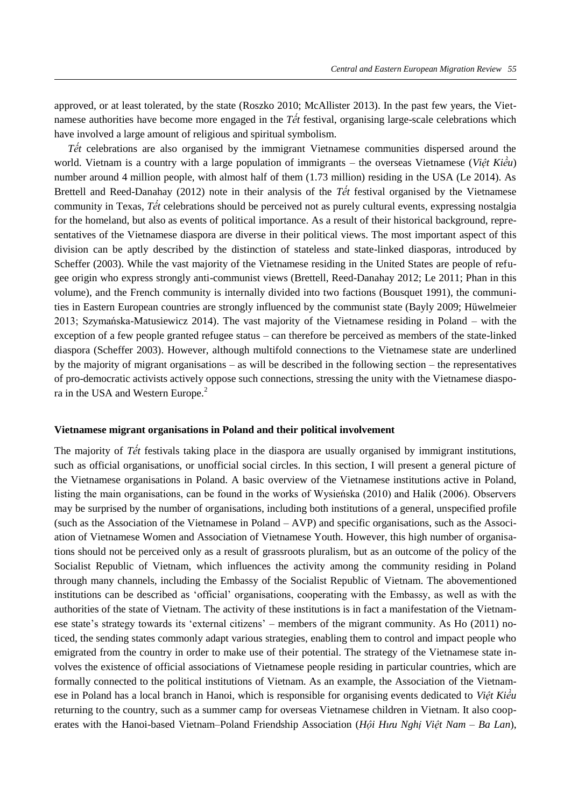approved, or at least tolerated, by the state (Roszko 2010; McAllister 2013). In the past few years, the Vietnamese authorities have become more engaged in the *Tết* festival, organising large-scale celebrations which have involved a large amount of religious and spiritual symbolism.

*Tết* celebrations are also organised by the immigrant Vietnamese communities dispersed around the world. Vietnam is a country with a large population of immigrants – the overseas Vietnamese (*Viêt Kiều*) number around 4 million people, with almost half of them (1.73 million) residing in the USA (Le 2014). As Brettell and Reed-Danahay (2012) note in their analysis of the *Tết* festival organised by the Vietnamese community in Texas, *Tết* celebrations should be perceived not as purely cultural events, expressing nostalgia for the homeland, but also as events of political importance. As a result of their historical background, representatives of the Vietnamese diaspora are diverse in their political views. The most important aspect of this division can be aptly described by the distinction of stateless and state-linked diasporas, introduced by Scheffer (2003). While the vast majority of the Vietnamese residing in the United States are people of refugee origin who express strongly anti-communist views (Brettell, Reed-Danahay 2012; Le 2011; Phan in this volume), and the French community is internally divided into two factions (Bousquet 1991), the communities in Eastern European countries are strongly influenced by the communist state (Bayly 2009; Hüwelmeier 2013; Szymańska-Matusiewicz 2014). The vast majority of the Vietnamese residing in Poland – with the exception of a few people granted refugee status – can therefore be perceived as members of the state-linked diaspora (Scheffer 2003). However, although multifold connections to the Vietnamese state are underlined by the majority of migrant organisations – as will be described in the following section – the representatives of pro-democratic activists actively oppose such connections, stressing the unity with the Vietnamese diaspora in the USA and Western Europe.<sup>2</sup>

#### **Vietnamese migrant organisations in Poland and their political involvement**

The majority of *Tết* festivals taking place in the diaspora are usually organised by immigrant institutions, such as official organisations, or unofficial social circles. In this section, I will present a general picture of the Vietnamese organisations in Poland. A basic overview of the Vietnamese institutions active in Poland, listing the main organisations, can be found in the works of Wysieńska (2010) and Halik (2006). Observers may be surprised by the number of organisations, including both institutions of a general, unspecified profile (such as the Association of the Vietnamese in Poland – AVP) and specific organisations, such as the Association of Vietnamese Women and Association of Vietnamese Youth. However, this high number of organisations should not be perceived only as a result of grassroots pluralism, but as an outcome of the policy of the Socialist Republic of Vietnam, which influences the activity among the community residing in Poland through many channels, including the Embassy of the Socialist Republic of Vietnam. The abovementioned institutions can be described as 'official' organisations, cooperating with the Embassy, as well as with the authorities of the state of Vietnam. The activity of these institutions is in fact a manifestation of the Vietnamese state's strategy towards its 'external citizens' – members of the migrant community. As Ho (2011) noticed, the sending states commonly adapt various strategies, enabling them to control and impact people who emigrated from the country in order to make use of their potential. The strategy of the Vietnamese state involves the existence of official associations of Vietnamese people residing in particular countries, which are formally connected to the political institutions of Vietnam. As an example, the Association of the Vietnamese in Poland has a local branch in Hanoi, which is responsible for organising events dedicated to Việt Kiều returning to the country, such as a summer camp for overseas Vietnamese children in Vietnam. It also cooperates with the Hanoi-based Vietnam–Poland Friendship Association (*Hội Hưu Nghi Việt Nam – Ba Lan*),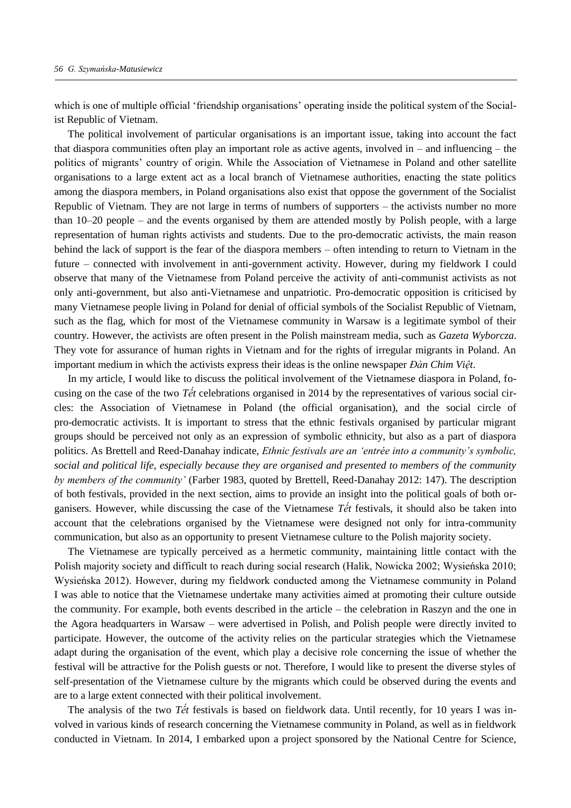which is one of multiple official 'friendship organisations' operating inside the political system of the Socialist Republic of Vietnam.

The political involvement of particular organisations is an important issue, taking into account the fact that diaspora communities often play an important role as active agents, involved in – and influencing – the politics of migrants' country of origin. While the Association of Vietnamese in Poland and other satellite organisations to a large extent act as a local branch of Vietnamese authorities, enacting the state politics among the diaspora members, in Poland organisations also exist that oppose the government of the Socialist Republic of Vietnam. They are not large in terms of numbers of supporters – the activists number no more than 10–20 people – and the events organised by them are attended mostly by Polish people, with a large representation of human rights activists and students. Due to the pro-democratic activists, the main reason behind the lack of support is the fear of the diaspora members – often intending to return to Vietnam in the future – connected with involvement in anti-government activity. However, during my fieldwork I could observe that many of the Vietnamese from Poland perceive the activity of anti-communist activists as not only anti-government, but also anti-Vietnamese and unpatriotic. Pro-democratic opposition is criticised by many Vietnamese people living in Poland for denial of official symbols of the Socialist Republic of Vietnam, such as the flag, which for most of the Vietnamese community in Warsaw is a legitimate symbol of their country. However, the activists are often present in the Polish mainstream media, such as *Gazeta Wyborcza*. They vote for assurance of human rights in Vietnam and for the rights of irregular migrants in Poland. An important medium in which the activists express their ideas is the online newspaper *Đàn Chim Việt*.

In my article, I would like to discuss the political involvement of the Vietnamese diaspora in Poland, focusing on the case of the two *Tết* celebrations organised in 2014 by the representatives of various social circles: the Association of Vietnamese in Poland (the official organisation), and the social circle of pro-democratic activists. It is important to stress that the ethnic festivals organised by particular migrant groups should be perceived not only as an expression of symbolic ethnicity, but also as a part of diaspora politics. As Brettell and Reed-Danahay indicate, *Ethnic festivals are an 'entrée into a community's symbolic, social and political life, especially because they are organised and presented to members of the community by members of the community'* (Farber 1983, quoted by Brettell, Reed-Danahay 2012: 147). The description of both festivals, provided in the next section, aims to provide an insight into the political goals of both organisers. However, while discussing the case of the Vietnamese *Tết* festivals, it should also be taken into account that the celebrations organised by the Vietnamese were designed not only for intra-community communication, but also as an opportunity to present Vietnamese culture to the Polish majority society.

The Vietnamese are typically perceived as a hermetic community, maintaining little contact with the Polish majority society and difficult to reach during social research (Halik, Nowicka 2002; Wysieńska 2010; Wysieńska 2012). However, during my fieldwork conducted among the Vietnamese community in Poland I was able to notice that the Vietnamese undertake many activities aimed at promoting their culture outside the community. For example, both events described in the article – the celebration in Raszyn and the one in the Agora headquarters in Warsaw – were advertised in Polish, and Polish people were directly invited to participate. However, the outcome of the activity relies on the particular strategies which the Vietnamese adapt during the organisation of the event, which play a decisive role concerning the issue of whether the festival will be attractive for the Polish guests or not. Therefore, I would like to present the diverse styles of self-presentation of the Vietnamese culture by the migrants which could be observed during the events and are to a large extent connected with their political involvement.

The analysis of the two *Tết* festivals is based on fieldwork data. Until recently, for 10 years I was involved in various kinds of research concerning the Vietnamese community in Poland, as well as in fieldwork conducted in Vietnam. In 2014, I embarked upon a project sponsored by the National Centre for Science,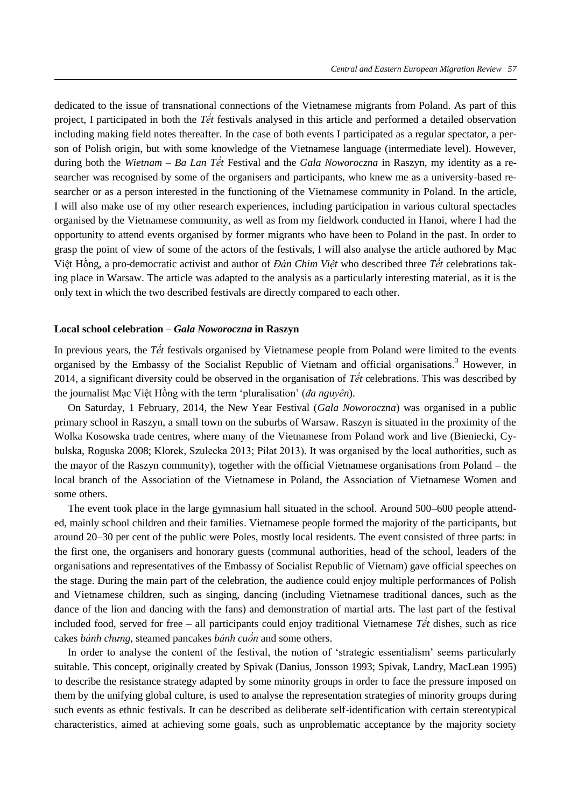dedicated to the issue of transnational connections of the Vietnamese migrants from Poland. As part of this project, I participated in both the *Tết* festivals analysed in this article and performed a detailed observation including making field notes thereafter. In the case of both events I participated as a regular spectator, a person of Polish origin, but with some knowledge of the Vietnamese language (intermediate level). However, during both the *Wietnam – Ba Lan Tết* Festival and the *Gala Noworoczna* in Raszyn, my identity as a researcher was recognised by some of the organisers and participants, who knew me as a university-based researcher or as a person interested in the functioning of the Vietnamese community in Poland. In the article, I will also make use of my other research experiences, including participation in various cultural spectacles organised by the Vietnamese community, as well as from my fieldwork conducted in Hanoi, where I had the opportunity to attend events organised by former migrants who have been to Poland in the past. In order to grasp the point of view of some of the actors of the festivals. I will also analyse the article authored by Mac Việt Hồng, a pro-democratic activist and author of *Đàn Chim Vi t* who described three *Tết* celebrations taking place in Warsaw. The article was adapted to the analysis as a particularly interesting material, as it is the only text in which the two described festivals are directly compared to each other.

### **Local school celebration –** *Gala Noworoczna* **in Raszyn**

In previous years, the *Tết* festivals organised by Vietnamese people from Poland were limited to the events organised by the Embassy of the Socialist Republic of Vietnam and official organisations.<sup>3</sup> However, in 2014, a significant diversity could be observed in the organisation of *Tết* celebrations. This was described by the journalist Mạc Việt Hồng with the term 'pluralisation' (đa nguyên).

On Saturday, 1 February, 2014, the New Year Festival (*Gala Noworoczna*) was organised in a public primary school in Raszyn, a small town on the suburbs of Warsaw. Raszyn is situated in the proximity of the Wolka Kosowska trade centres, where many of the Vietnamese from Poland work and live (Bieniecki, Cybulska, Roguska 2008; Klorek, Szulecka 2013; Piłat 2013). It was organised by the local authorities, such as the mayor of the Raszyn community), together with the official Vietnamese organisations from Poland – the local branch of the Association of the Vietnamese in Poland, the Association of Vietnamese Women and some others.

The event took place in the large gymnasium hall situated in the school. Around 500–600 people attended, mainly school children and their families. Vietnamese people formed the majority of the participants, but around 20–30 per cent of the public were Poles, mostly local residents. The event consisted of three parts: in the first one, the organisers and honorary guests (communal authorities, head of the school, leaders of the organisations and representatives of the Embassy of Socialist Republic of Vietnam) gave official speeches on the stage. During the main part of the celebration, the audience could enjoy multiple performances of Polish and Vietnamese children, such as singing, dancing (including Vietnamese traditional dances, such as the dance of the lion and dancing with the fans) and demonstration of martial arts. The last part of the festival included food, served for free – all participants could enjoy traditional Vietnamese *Tết* dishes, such as rice cakes *bánh chưng*, steamed pancakes *bánh cuốn* and some others.

 n order to analyse the content of the festival, the notion of 'strategic essentialism' seems particularly suitable. This concept, originally created by Spivak (Danius, Jonsson 1993; Spivak, Landry, MacLean 1995) to describe the resistance strategy adapted by some minority groups in order to face the pressure imposed on them by the unifying global culture, is used to analyse the representation strategies of minority groups during such events as ethnic festivals. It can be described as deliberate self-identification with certain stereotypical characteristics, aimed at achieving some goals, such as unproblematic acceptance by the majority society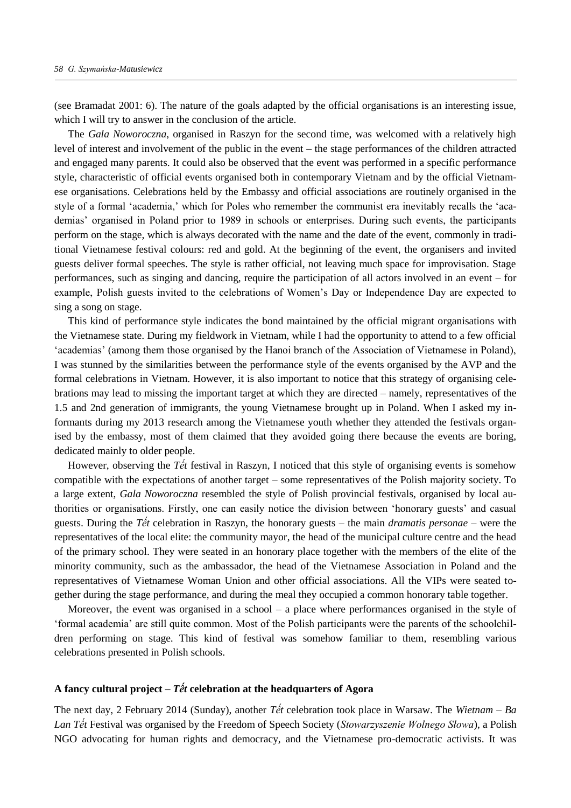(see Bramadat 2001: 6). The nature of the goals adapted by the official organisations is an interesting issue, which I will try to answer in the conclusion of the article.

The *Gala Noworoczna*, organised in Raszyn for the second time, was welcomed with a relatively high level of interest and involvement of the public in the event – the stage performances of the children attracted and engaged many parents. It could also be observed that the event was performed in a specific performance style, characteristic of official events organised both in contemporary Vietnam and by the official Vietnamese organisations. Celebrations held by the Embassy and official associations are routinely organised in the style of a formal 'academia,' which for Poles who remember the communist era inevitably recalls the 'academias' organised in Poland prior to 1989 in schools or enterprises. During such events, the participants perform on the stage, which is always decorated with the name and the date of the event, commonly in traditional Vietnamese festival colours: red and gold. At the beginning of the event, the organisers and invited guests deliver formal speeches. The style is rather official, not leaving much space for improvisation. Stage performances, such as singing and dancing, require the participation of all actors involved in an event – for example, Polish guests invited to the celebrations of Women's Day or ndependence Day are expected to sing a song on stage.

This kind of performance style indicates the bond maintained by the official migrant organisations with the Vietnamese state. During my fieldwork in Vietnam, while I had the opportunity to attend to a few official 'academias' (among them those organised by the Hanoi branch of the Association of Vietnamese in Poland), I was stunned by the similarities between the performance style of the events organised by the AVP and the formal celebrations in Vietnam. However, it is also important to notice that this strategy of organising celebrations may lead to missing the important target at which they are directed – namely, representatives of the 1.5 and 2nd generation of immigrants, the young Vietnamese brought up in Poland. When I asked my informants during my 2013 research among the Vietnamese youth whether they attended the festivals organised by the embassy, most of them claimed that they avoided going there because the events are boring, dedicated mainly to older people.

However, observing the *Tết* festival in Raszyn, I noticed that this style of organising events is somehow compatible with the expectations of another target – some representatives of the Polish majority society. To a large extent, *Gala Noworoczna* resembled the style of Polish provincial festivals, organised by local authorities or organisations. Firstly, one can easily notice the division between 'honorary guests' and casual guests. During the *Tết* celebration in Raszyn, the honorary guests – the main *dramatis personae* – were the representatives of the local elite: the community mayor, the head of the municipal culture centre and the head of the primary school. They were seated in an honorary place together with the members of the elite of the minority community, such as the ambassador, the head of the Vietnamese Association in Poland and the representatives of Vietnamese Woman Union and other official associations. All the VIPs were seated together during the stage performance, and during the meal they occupied a common honorary table together.

Moreover, the event was organised in a school – a place where performances organised in the style of 'formal academia' are still quite common. Most of the Polish participants were the parents of the schoolchildren performing on stage. This kind of festival was somehow familiar to them, resembling various celebrations presented in Polish schools.

## A fancy cultural project  $-\hat{T}$  *celebration at the headquarters of Agora*

The next day, 2 February 2014 (Sunday), another *Tết* celebration took place in Warsaw. The *Wietnam – Ba Lan Tết* Festival was organised by the Freedom of Speech Society (*Stowarzyszenie Wolnego Słowa*), a Polish NGO advocating for human rights and democracy, and the Vietnamese pro-democratic activists. It was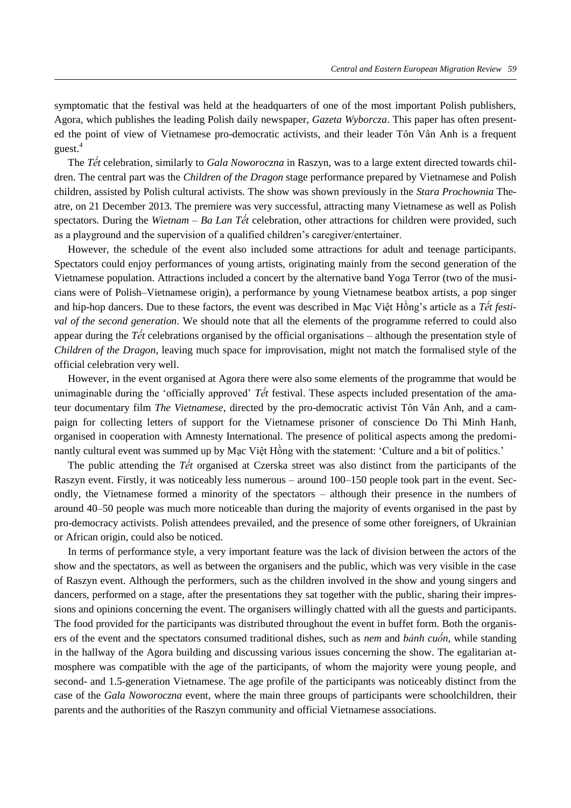symptomatic that the festival was held at the headquarters of one of the most important Polish publishers, Agora, which publishes the leading Polish daily newspaper, *Gazeta Wyborcza*. This paper has often presented the point of view of Vietnamese pro-democratic activists, and their leader Tôn Vân Anh is a frequent guest.<sup>4</sup>

The *Tết* celebration, similarly to *Gala Noworoczna* in Raszyn, was to a large extent directed towards children. The central part was the *Children of the Dragon* stage performance prepared by Vietnamese and Polish children, assisted by Polish cultural activists. The show was shown previously in the *Stara Prochownia* Theatre, on 21 December 2013. The premiere was very successful, attracting many Vietnamese as well as Polish spectators. During the *Wietnam – Ba Lan Tết* celebration, other attractions for children were provided, such as a playground and the supervision of a qualified children's caregiver/entertainer.

However, the schedule of the event also included some attractions for adult and teenage participants. Spectators could enjoy performances of young artists, originating mainly from the second generation of the Vietnamese population. Attractions included a concert by the alternative band Yoga Terror (two of the musicians were of Polish–Vietnamese origin), a performance by young Vietnamese beatbox artists, a pop singer and hip-hop dancers. Due to these factors, the event was described in Mac Việt Hồng's article as a *Tết festival of the second generation*. We should note that all the elements of the programme referred to could also appear during the *Tết* celebrations organised by the official organisations – although the presentation style of *Children of the Dragon*, leaving much space for improvisation, might not match the formalised style of the official celebration very well.

However, in the event organised at Agora there were also some elements of the programme that would be unimaginable during the 'officially approved' *Tết* festival. These aspects included presentation of the amateur documentary film *The Vietnamese*, directed by the pro-democratic activist Tôn Vân Anh, and a campaign for collecting letters of support for the Vietnamese prisoner of conscience Do Thi Minh Hanh, organised in cooperation with Amnesty International. The presence of political aspects among the predominantly cultural event was summed up by Mac Việt Hồng with the statement: 'Culture and a bit of politics.'

The public attending the *Tết* organised at Czerska street was also distinct from the participants of the Raszyn event. Firstly, it was noticeably less numerous – around 100–150 people took part in the event. Secondly, the Vietnamese formed a minority of the spectators – although their presence in the numbers of around 40–50 people was much more noticeable than during the majority of events organised in the past by pro-democracy activists. Polish attendees prevailed, and the presence of some other foreigners, of Ukrainian or African origin, could also be noticed.

In terms of performance style, a very important feature was the lack of division between the actors of the show and the spectators, as well as between the organisers and the public, which was very visible in the case of Raszyn event. Although the performers, such as the children involved in the show and young singers and dancers, performed on a stage, after the presentations they sat together with the public, sharing their impressions and opinions concerning the event. The organisers willingly chatted with all the guests and participants. The food provided for the participants was distributed throughout the event in buffet form. Both the organisers of the event and the spectators consumed traditional dishes, such as *nem* and *bánh cuốn*, while standing in the hallway of the Agora building and discussing various issues concerning the show. The egalitarian atmosphere was compatible with the age of the participants, of whom the majority were young people, and second- and 1.5-generation Vietnamese. The age profile of the participants was noticeably distinct from the case of the *Gala Noworoczna* event, where the main three groups of participants were schoolchildren, their parents and the authorities of the Raszyn community and official Vietnamese associations.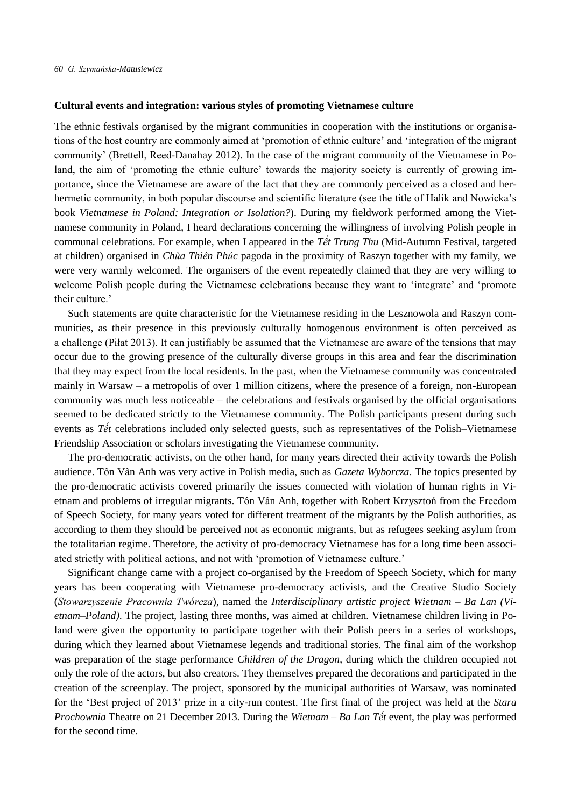#### **Cultural events and integration: various styles of promoting Vietnamese culture**

The ethnic festivals organised by the migrant communities in cooperation with the institutions or organisations of the host country are commonly aimed at 'promotion of ethnic culture' and 'integration of the migrant community' (Brettell, Reed-Danahay 2012). In the case of the migrant community of the Vietnamese in Poland, the aim of 'promoting the ethnic culture' towards the majority society is currently of growing importance, since the Vietnamese are aware of the fact that they are commonly perceived as a closed and herhermetic community, in both popular discourse and scientific literature (see the title of Halik and Nowicka's book *Vietnamese in Poland: Integration or Isolation?*). During my fieldwork performed among the Vietnamese community in Poland, I heard declarations concerning the willingness of involving Polish people in communal celebrations. For example, when I appeared in the *Tết Trung Thu* (Mid-Autumn Festival, targeted at children) organised in *Chùa Thiên Phúc* pagoda in the proximity of Raszyn together with my family, we were very warmly welcomed. The organisers of the event repeatedly claimed that they are very willing to welcome Polish people during the Vietnamese celebrations because they want to 'integrate' and 'promote their culture.'

Such statements are quite characteristic for the Vietnamese residing in the Lesznowola and Raszyn communities, as their presence in this previously culturally homogenous environment is often perceived as a challenge (Piłat 2013). It can justifiably be assumed that the Vietnamese are aware of the tensions that may occur due to the growing presence of the culturally diverse groups in this area and fear the discrimination that they may expect from the local residents. In the past, when the Vietnamese community was concentrated mainly in Warsaw – a metropolis of over 1 million citizens, where the presence of a foreign, non-European community was much less noticeable – the celebrations and festivals organised by the official organisations seemed to be dedicated strictly to the Vietnamese community. The Polish participants present during such events as *Tết* celebrations included only selected guests, such as representatives of the Polish–Vietnamese Friendship Association or scholars investigating the Vietnamese community.

The pro-democratic activists, on the other hand, for many years directed their activity towards the Polish audience. Tôn Vân Anh was very active in Polish media, such as *Gazeta Wyborcza*. The topics presented by the pro-democratic activists covered primarily the issues connected with violation of human rights in Vietnam and problems of irregular migrants. Tôn Vân Anh, together with Robert Krzysztoń from the Freedom of Speech Society, for many years voted for different treatment of the migrants by the Polish authorities, as according to them they should be perceived not as economic migrants, but as refugees seeking asylum from the totalitarian regime. Therefore, the activity of pro-democracy Vietnamese has for a long time been associated strictly with political actions, and not with 'promotion of Vietnamese culture.'

Significant change came with a project co-organised by the Freedom of Speech Society, which for many years has been cooperating with Vietnamese pro-democracy activists, and the Creative Studio Society (*Stowarzyszenie Pracownia Twórcza*), named the *Interdisciplinary artistic project Wietnam – Ba Lan* (*Vietnam*–*Poland)*. The project, lasting three months, was aimed at children. Vietnamese children living in Poland were given the opportunity to participate together with their Polish peers in a series of workshops, during which they learned about Vietnamese legends and traditional stories. The final aim of the workshop was preparation of the stage performance *Children of the Dragon*, during which the children occupied not only the role of the actors, but also creators. They themselves prepared the decorations and participated in the creation of the screenplay. The project, sponsored by the municipal authorities of Warsaw, was nominated for the 'Best project of 2013' prize in a city-run contest. The first final of the project was held at the *Stara Prochownia* Theatre on 21 December 2013. During the *Wietnam – Ba Lan Tết* event, the play was performed for the second time.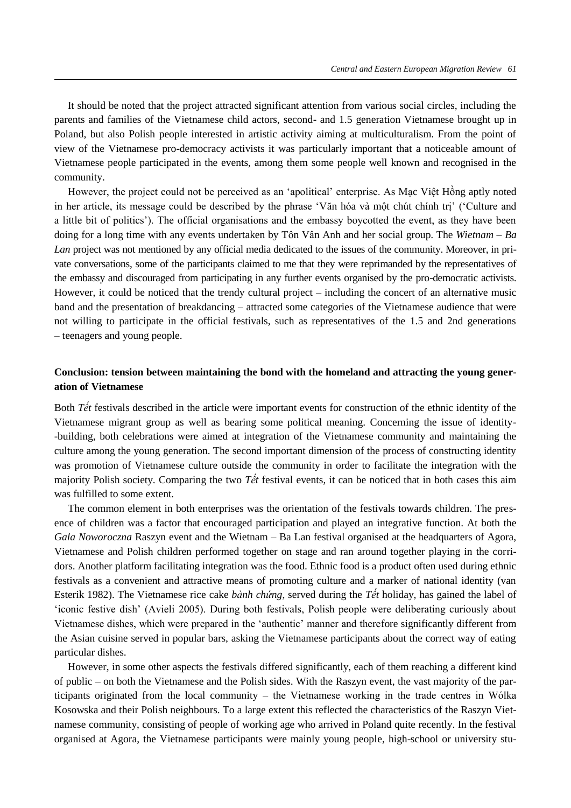It should be noted that the project attracted significant attention from various social circles, including the parents and families of the Vietnamese child actors, second- and 1.5 generation Vietnamese brought up in Poland, but also Polish people interested in artistic activity aiming at multiculturalism. From the point of view of the Vietnamese pro-democracy activists it was particularly important that a noticeable amount of Vietnamese people participated in the events, among them some people well known and recognised in the community.

However, the project could not be perceived as an 'apolitical' enterprise. As Mac Việt Hồng aptly noted in her article, its message could be described by the phrase 'Văn hóa và môt chút chính trị' ('Culture and a little bit of politics'). he official organisations and the embassy boycotted the event, as they have been doing for a long time with any events undertaken by Tôn Vân Anh and her social group. The *Wietnam – Ba Lan* project was not mentioned by any official media dedicated to the issues of the community. Moreover, in private conversations, some of the participants claimed to me that they were reprimanded by the representatives of the embassy and discouraged from participating in any further events organised by the pro-democratic activists. However, it could be noticed that the trendy cultural project – including the concert of an alternative music band and the presentation of breakdancing – attracted some categories of the Vietnamese audience that were not willing to participate in the official festivals, such as representatives of the 1.5 and 2nd generations – teenagers and young people.

# **Conclusion: tension between maintaining the bond with the homeland and attracting the young generation of Vietnamese**

Both *Tết* festivals described in the article were important events for construction of the ethnic identity of the Vietnamese migrant group as well as bearing some political meaning. Concerning the issue of identity- -building, both celebrations were aimed at integration of the Vietnamese community and maintaining the culture among the young generation. The second important dimension of the process of constructing identity was promotion of Vietnamese culture outside the community in order to facilitate the integration with the majority Polish society. Comparing the two *Tết* festival events, it can be noticed that in both cases this aim was fulfilled to some extent.

The common element in both enterprises was the orientation of the festivals towards children. The presence of children was a factor that encouraged participation and played an integrative function. At both the *Gala Noworoczna* Raszyn event and the Wietnam – Ba Lan festival organised at the headquarters of Agora, Vietnamese and Polish children performed together on stage and ran around together playing in the corridors. Another platform facilitating integration was the food. Ethnic food is a product often used during ethnic festivals as a convenient and attractive means of promoting culture and a marker of national identity (van Esterik 1982). The Vietnamese rice cake *bành chứng*, served during the *Tết* holiday, has gained the label of 'iconic festive dish' (Avieli 2005). During both festivals, Polish people were deliberating curiously about Vietnamese dishes, which were prepared in the 'authentic' manner and therefore significantly different from the Asian cuisine served in popular bars, asking the Vietnamese participants about the correct way of eating particular dishes.

However, in some other aspects the festivals differed significantly, each of them reaching a different kind of public – on both the Vietnamese and the Polish sides. With the Raszyn event, the vast majority of the participants originated from the local community – the Vietnamese working in the trade centres in Wólka Kosowska and their Polish neighbours. To a large extent this reflected the characteristics of the Raszyn Vietnamese community, consisting of people of working age who arrived in Poland quite recently. In the festival organised at Agora, the Vietnamese participants were mainly young people, high-school or university stu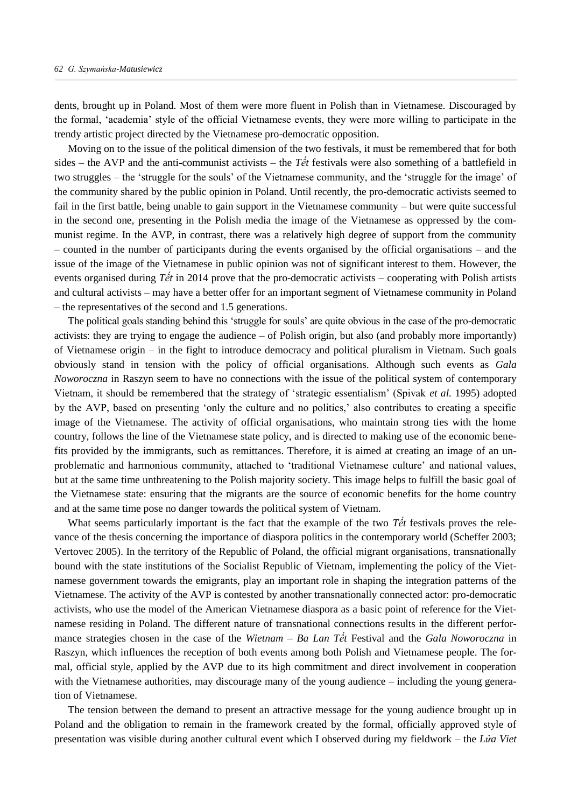dents, brought up in Poland. Most of them were more fluent in Polish than in Vietnamese. Discouraged by the formal, 'academia' style of the official Vietnamese events, they were more willing to participate in the trendy artistic project directed by the Vietnamese pro-democratic opposition.

Moving on to the issue of the political dimension of the two festivals, it must be remembered that for both sides – the AVP and the anti-communist activists – the *Tết* festivals were also something of a battlefield in two struggles – the 'struggle for the souls' of the Vietnamese community, and the 'struggle for the image' of the community shared by the public opinion in Poland. Until recently, the pro-democratic activists seemed to fail in the first battle, being unable to gain support in the Vietnamese community – but were quite successful in the second one, presenting in the Polish media the image of the Vietnamese as oppressed by the communist regime. In the AVP, in contrast, there was a relatively high degree of support from the community – counted in the number of participants during the events organised by the official organisations – and the issue of the image of the Vietnamese in public opinion was not of significant interest to them. However, the events organised during *Tết* in 2014 prove that the pro-democratic activists – cooperating with Polish artists and cultural activists – may have a better offer for an important segment of Vietnamese community in Poland – the representatives of the second and 1.5 generations.

The political goals standing behind this 'struggle for souls' are quite obvious in the case of the pro-democratic activists: they are trying to engage the audience – of Polish origin, but also (and probably more importantly) of Vietnamese origin – in the fight to introduce democracy and political pluralism in Vietnam. Such goals obviously stand in tension with the policy of official organisations. Although such events as *Gala Noworoczna* in Raszyn seem to have no connections with the issue of the political system of contemporary Vietnam, it should be remembered that the strategy of 'strategic essentialism' (Spivak *et al.* 1995) adopted by the AVP, based on presenting 'only the culture and no politics,' also contributes to creating a specific image of the Vietnamese. The activity of official organisations, who maintain strong ties with the home country, follows the line of the Vietnamese state policy, and is directed to making use of the economic benefits provided by the immigrants, such as remittances. Therefore, it is aimed at creating an image of an unproblematic and harmonious community, attached to 'traditional Vietnamese culture' and national values, but at the same time unthreatening to the Polish majority society. This image helps to fulfill the basic goal of the Vietnamese state: ensuring that the migrants are the source of economic benefits for the home country and at the same time pose no danger towards the political system of Vietnam.

What seems particularly important is the fact that the example of the two *Tết* festivals proves the relevance of the thesis concerning the importance of diaspora politics in the contemporary world (Scheffer 2003; Vertovec 2005). In the territory of the Republic of Poland, the official migrant organisations, transnationally bound with the state institutions of the Socialist Republic of Vietnam, implementing the policy of the Vietnamese government towards the emigrants, play an important role in shaping the integration patterns of the Vietnamese. The activity of the AVP is contested by another transnationally connected actor: pro-democratic activists, who use the model of the American Vietnamese diaspora as a basic point of reference for the Vietnamese residing in Poland. The different nature of transnational connections results in the different performance strategies chosen in the case of the *Wietnam – Ba Lan Tết* Festival and the *Gala Noworoczna* in Raszyn, which influences the reception of both events among both Polish and Vietnamese people. The formal, official style, applied by the AVP due to its high commitment and direct involvement in cooperation with the Vietnamese authorities, may discourage many of the young audience – including the young generation of Vietnamese.

The tension between the demand to present an attractive message for the young audience brought up in Poland and the obligation to remain in the framework created by the formal, officially approved style of presentation was visible during another cultural event which I observed during my fieldwork – the *Lita Viet*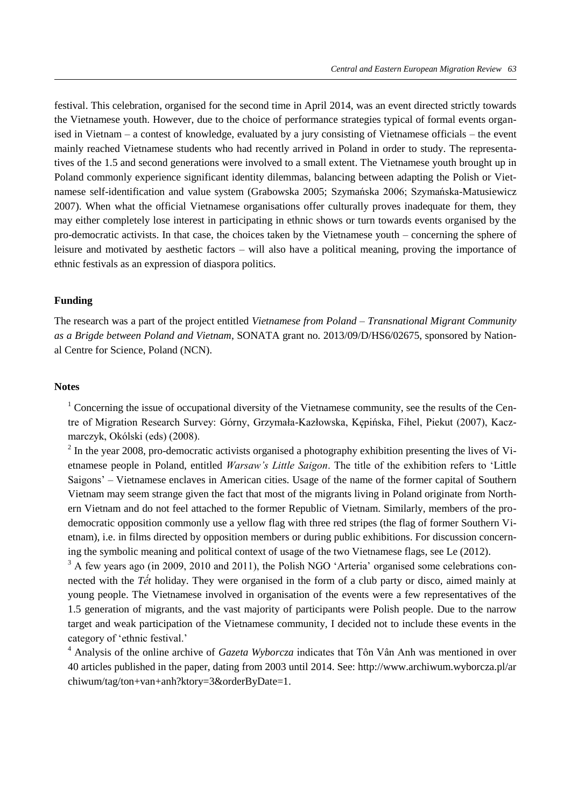festival. This celebration, organised for the second time in April 2014, was an event directed strictly towards the Vietnamese youth. However, due to the choice of performance strategies typical of formal events organised in Vietnam – a contest of knowledge, evaluated by a jury consisting of Vietnamese officials – the event mainly reached Vietnamese students who had recently arrived in Poland in order to study. The representatives of the 1.5 and second generations were involved to a small extent. The Vietnamese youth brought up in Poland commonly experience significant identity dilemmas, balancing between adapting the Polish or Vietnamese self-identification and value system (Grabowska 2005; Szymańska 2006; Szymańska-Matusiewicz 2007). When what the official Vietnamese organisations offer culturally proves inadequate for them, they may either completely lose interest in participating in ethnic shows or turn towards events organised by the pro-democratic activists. In that case, the choices taken by the Vietnamese youth – concerning the sphere of leisure and motivated by aesthetic factors – will also have a political meaning, proving the importance of ethnic festivals as an expression of diaspora politics.

## **Funding**

The research was a part of the project entitled *Vietnamese from Poland – Transnational Migrant Community as a Brigde between Poland and Vietnam*, SONATA grant no. 2013/09/D/HS6/02675, sponsored by National Centre for Science, Poland (NCN).

## **Notes**

 $1$  Concerning the issue of occupational diversity of the Vietnamese community, see the results of the Centre of Migration Research Survey: Górny, Grzymała-Kazłowska, Kępińska, Fihel, Piekut (2007), Kaczmarczyk, Okólski (eds) (2008).

 $2$  In the year 2008, pro-democratic activists organised a photography exhibition presenting the lives of Vietnamese people in Poland, entitled *Warsaw's Little Saigon*. The title of the exhibition refers to 'Little Saigons' – Vietnamese enclaves in American cities. Usage of the name of the former capital of Southern Vietnam may seem strange given the fact that most of the migrants living in Poland originate from Northern Vietnam and do not feel attached to the former Republic of Vietnam. Similarly, members of the prodemocratic opposition commonly use a yellow flag with three red stripes (the flag of former Southern Vietnam), i.e. in films directed by opposition members or during public exhibitions. For discussion concerning the symbolic meaning and political context of usage of the two Vietnamese flags, see Le (2012).

<sup>3</sup> A few years ago (in 2009, 2010 and 2011), the Polish NGO 'Arteria' organised some celebrations connected with the *Tết* holiday. They were organised in the form of a club party or disco, aimed mainly at young people. The Vietnamese involved in organisation of the events were a few representatives of the 1.5 generation of migrants, and the vast majority of participants were Polish people. Due to the narrow target and weak participation of the Vietnamese community, I decided not to include these events in the category of 'ethnic festival.'

<sup>4</sup> Analysis of the online archive of *Gazeta Wyborcza* indicates that Tôn Vân Anh was mentioned in over 40 articles published in the paper, dating from 2003 until 2014. See: http://www.archiwum.wyborcza.pl/ar chiwum/tag/ton+van+anh?ktory=3&orderByDate=1.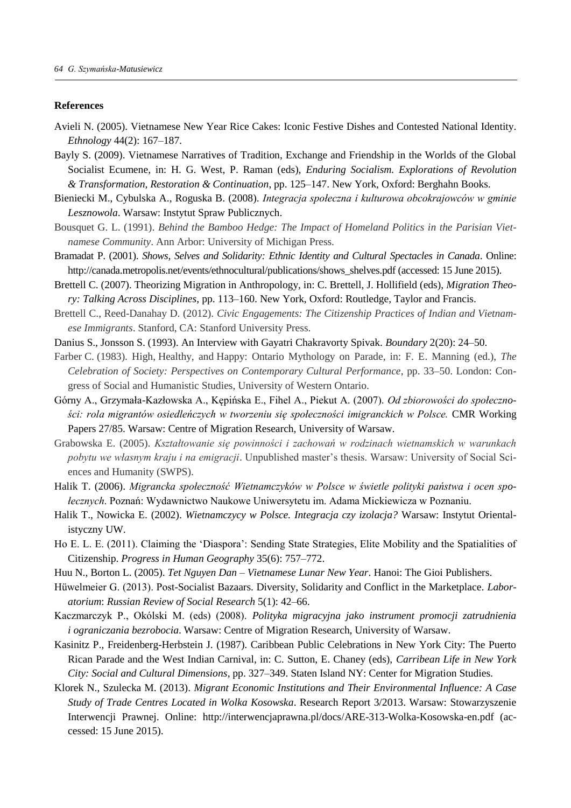#### **References**

- Avieli N. (2005). Vietnamese New Year Rice Cakes: Iconic Festive Dishes and Contested National Identity. *Ethnology* 44(2): 167–187.
- Bayly S. (2009). Vietnamese Narratives of Tradition, Exchange and Friendship in the Worlds of the Global Socialist Ecumene, in: H. G. West, P. Raman (eds), *Enduring Socialism. Explorations of Revolution & Transformation, Restoration & Continuation*, pp. 125–147. New York, Oxford: Berghahn Books.
- Bieniecki M., Cybulska A., Roguska B. (2008). *Integracja społeczna i kulturowa obcokrajowców w gminie Lesznowola*. Warsaw: Instytut Spraw Publicznych.
- Bousquet G. L. (1991). *Behind the Bamboo Hedge: The Impact of Homeland Politics in the Parisian Vietnamese Community*. Ann Arbor: University of Michigan Press.
- Bramadat P. (2001). *Shows, Selves and Solidarity: Ethnic Identity and Cultural Spectacles in Canada*. Online: http://canada.metropolis.net/events/ethnocultural/publications/shows\_shelves.pdf (accessed: 15 June 2015).
- Brettell C. (2007). Theorizing Migration in Anthropology, in: C. Brettell, J. Hollifield (eds), *Migration Theory: Talking Across Disciplines*, pp. 113–160. New York, Oxford: Routledge, Taylor and Francis.
- Brettell C., Reed-Danahay D. (2012). *Civic Engagements: The Citizenship Practices of Indian and Vietnamese Immigrants*. Stanford, CA: Stanford University Press.
- Danius S., Jonsson S. (1993). An Interview with Gayatri Chakravorty Spivak. *Boundary* 2(20): 24–50.
- Farber C. (1983). High, Healthy, and Happy: Ontario Mythology on Parade, in: F. E. Manning (ed.), *The Celebration of Society: Perspectives on Contemporary Cultural Performance*, pp. 33–50. London: Congress of Social and Humanistic Studies, University of Western Ontario.
- Górny A., Grzymała-Kazłowska A., Kępińska E., Fihel A., Piekut A. (2007). *Od zbiorowości do społeczności: rola migrantów osiedleńczych w tworzeniu się społeczności imigranckich w Polsce.* CMR Working Papers 27/85. Warsaw: Centre of Migration Research, University of Warsaw.
- Grabowska E. (2005). *Kształtowanie się powinności i zachowań w rodzinach wietnamskich w warunkach pobytu we własnym kraju i na emigracji*. Unpublished master's thesis. Warsaw: University of Social Sciences and Humanity (SWPS).
- Halik T. (2006). *Migrancka społeczność Wietnamczyków w Polsce w świetle polityki państwa i ocen społecznych*. Poznań: Wydawnictwo Naukowe Uniwersytetu im. Adama Mickiewicza w Poznaniu.
- Halik T., Nowicka E. (2002). *Wietnamczycy w Polsce. Integracja czy izolacja?* Warsaw: Instytut Orientalistyczny UW.
- Ho E. L. E. (2011). Claiming the 'Diaspora': Sending State Strategies, Elite Mobility and the Spatialities of Citizenship. *Progress in Human Geography* 35(6): 757–772.
- Huu N., Borton L. (2005). *Tet Nguyen Dan – Vietnamese Lunar New Year*. Hanoi: The Gioi Publishers.
- Hüwelmeier G. (2013). Post-Socialist Bazaars. Diversity, Solidarity and Conflict in the Marketplace. *Laboratorium*: *Russian Review of Social Research* 5(1): 42–66.
- Kaczmarczyk P., Okólski M. (eds) (2008). *Polityka migracyjna jako instrument promocji zatrudnienia i ograniczania bezrobocia*. Warsaw: Centre of Migration Research, University of Warsaw.
- Kasinitz P., Freidenberg-Herbstein J. (1987). Caribbean Public Celebrations in New York City: The Puerto Rican Parade and the West Indian Carnival, in: C. Sutton, E. Chaney (eds), *Carribean Life in New York City: Social and Cultural Dimensions*, pp. 327–349. Staten Island NY: Center for Migration Studies.
- Klorek N., Szulecka M. (2013). *Migrant Economic Institutions and Their Environmental Influence: A Case Study of Trade Centres Located in Wolka Kosowska*. Research Report 3/2013. Warsaw: Stowarzyszenie Interwencji Prawnej. Online: http://interwencjaprawna.pl/docs/ARE-313-Wolka-Kosowska-en.pdf (accessed: 15 June 2015).